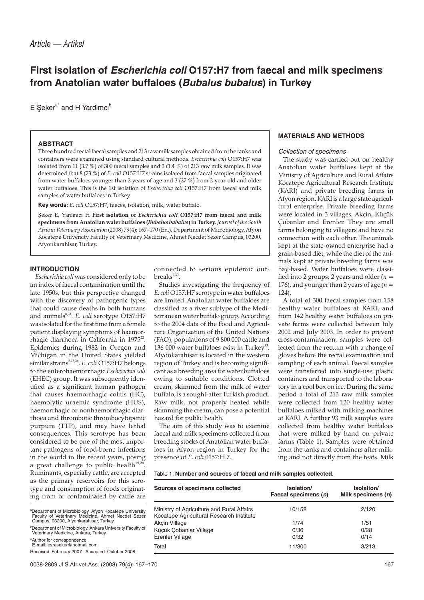# **First isolation of Escherichia coli O157:H7 from faecal and milk specimens from Anatolian water buffaloes (Bubalus bubalus) in Turkey**

 $E$  Seker<sup>a\*</sup> and H Yardimci<sup>b</sup>

#### **ABSTRACT**

Three hundred rectal faecal samples and 213 raw milk samples obtained from the tanks and containers were examined using standard cultural methods. *Escherichia coli* O157:H7 was isolated from 11 (3.7 %) of 300 faecal samples and 3 (1.4 %) of 213 raw milk samples. It was determined that 8 (73 %) of *E. coli* O157:H7 strains isolated from faecal samples originated from water buffaloes younger than 2 years of age and 3 (27 %) from 2-year-old and older water buffaloes. This is the 1st isolation of *Escherichia coli* O157:H7 from faecal and milk samples of water buffaloes in Turkey.

**Key words**: *E. coli* O157:H7, faeces, isolation, milk, water buffalo.

eker E, Yardm*c* H **First isolation of** *Escherichia coli* **O157:H7 from faecal and milk specimens from Anatolian water buffaloes (***Bubalus bubalus***) in Turkey**. *Journal of the South African Veterinary Association* (2008) 79(4): 167–170 (En.). Department of Microbiology, Afyon Kocatepe University Faculty of Veterinary Medicine, Ahmet Necdet Sezer Campus, 03200, Afyonkarahisar, Turkey.

## **INTRODUCTION**

*Escherichia coli* was considered only to be an index of faecal contamination until the late 1950s, but this perspective changed with the discovery of pathogenic types that could cause deaths in both humans and animals<sup>8,21</sup>. *E. coli* serotype O157:H7 was isolated for the first time from a female patient displaying symptoms of haemorrhagic diarrhoea in California in 1975<sup>23</sup>. Epidemics during 1982 in Oregon and Michigan in the United States yielded similar strains<sup>2,15,24</sup>. *E. coli* O157:H7 belongs to the enterohaemorrhagic *Escherichia coli* (EHEC) group. It was subsequently identified as a significant human pathogen that causes haemorrhagic colitis (HC), haemolytic uraemic syndrome (HUS), haemorrhagic or nonhaemorrhagic diarrhoea and thrombotic thrombocytopenic purpura (TTP), and may have lethal consequences. This serotype has been considered to be one of the most important pathogens of food-borne infections in the world in the recent years, posing a great challenge to public health<sup>19,2</sup> Ruminants, especially cattle, are accepted as the primary reservoirs for this serotype and consumption of foods originating from or contaminated by cattle are

a Department of Microbiology, Afyon Kocatepe University Faculty of Veterinary Medicine, Ahmet Necdet Sezer Campus, 03200, Afyonkarahisar, Turkey.

**Department of Microbiology, Ankara University Faculty of** Veterinary Medicine, Ankara, Turkey.

\*Author for correspondence. E-mail: esraseker@hotmail.com

Received: February 2007. Accepted: October 2008.

connected to serious epidemic outbreaks<sup>7,30</sup>.

Studies investigating the frequency of *E. coli* O157:H7 serotype in water buffaloes are limited. Anatolian water buffaloes are classified as a river subtype of the Mediterranean water buffalo group. According to the 2004 data of the Food and Agriculture Organization of the United Nations (FAO), populations of 9 800 000 cattle and 136 000 water buffaloes exist in Turkey<sup>13</sup>. Afyonkarahisar is located in the western region of Turkey and is becoming significant as a breeding area for water buffaloes owing to suitable conditions. Clotted cream, skimmed from the milk of water buffalo, is a sought-after Turkish product. Raw milk, not properly heated while skimming the cream, can pose a potential hazard for public health.

The aim of this study was to examine faecal and milk specimens collected from breeding stocks of Anatolian water buffaloes in Afyon region in Turkey for the presence of *E. coli* 0157:H 7.

# **MATERIALS AND METHODS**

#### Collection of specimens

The study was carried out on healthy Anatolian water buffaloes kept at the Ministry of Agriculture and Rural Affairs Kocatepe Agricultural Research Institute (KARI) and private breeding farms in Afyon region. KARI is a large state agricultural enterprise. Private breeding farms were located in 3 villages, Akçin, Küçük Çobanlar and Erenler. They are small farms belonging to villagers and have no connection with each other. The animals kept at the state-owned enterprise had a grain-based diet, while the diet of the animals kept at private breeding farms was hay-based. Water buffaloes were classified into 2 groups: 2 years and older (*n* = 176), and younger than 2 years of age  $(n =$ 124).

A total of 300 faecal samples from 158 healthy water buffaloes at KARI, and from 142 healthy water buffaloes on private farms were collected between July 2002 and July 2003. In order to prevent cross-contamination, samples were collected from the rectum with a change of gloves before the rectal examination and sampling of each animal. Faecal samples were transferred into single-use plastic containers and transported to the laboratory in a cool box on ice. During the same period a total of 213 raw milk samples were collected from 120 healthy water buffaloes milked with milking machines at KARI. A further 93 milk samples were collected from healthy water buffaloes that were milked by hand on private farms (Table 1). Samples were obtained from the tanks and containers after milking and not directly from the teats. Milk

Table 1: **Number and sources of faecal and milk samples collected.**

| Sources of specimens collected                                                        | Isolation/<br>Faecal specimens (n) | Isolation/<br>Milk specimens $(n)$ |
|---------------------------------------------------------------------------------------|------------------------------------|------------------------------------|
| Ministry of Agriculture and Rural Affairs<br>Kocatepe Agricultural Research Institute | 10/158                             | 2/120                              |
| Akcin Village                                                                         | 1/74                               | 1/51                               |
| Küçük Cobanlar Village                                                                | 0/36                               | 0/28                               |
| Erenler Village                                                                       | 0/32                               | 0/14                               |
| Total                                                                                 | 11/300                             | 3/213                              |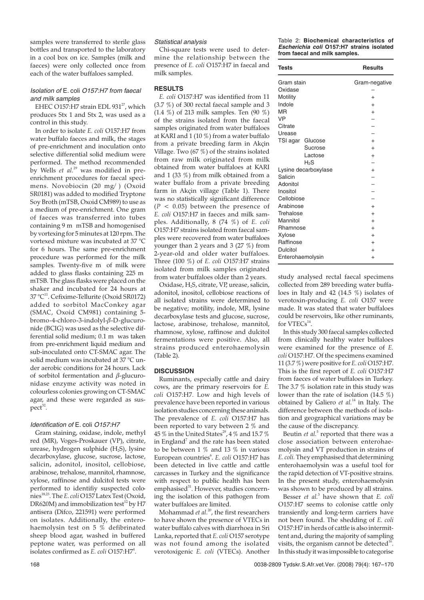samples were transferred to sterile glass bottles and transported to the laboratory in a cool box on ice. Samples (milk and faeces) were only collected once from each of the water buffaloes sampled.

# Isolation of E. coli O157:H7 from faecal and milk samples

EHEC O157:H7 strain EDL  $931^{27}$ , which produces Stx 1 and Stx 2, was used as a control in this study.

In order to isolate *E. coli* O157:H7 from water buffalo faeces and milk, the stages of pre-enrichment and inoculation onto selective differential solid medium were performed. The method recommended by Wells *et al.*<sup>29</sup> was modified in preenrichment procedures for faecal specimens. Novobiocin (20 mg/ ) (Oxoid SR0181) was added to modified Tryptone Soy Broth (mTSB, Oxoid CM989) to use as a medium of pre-enrichment. One gram of faeces was transferred into tubes containing 9 m mTSB and homogenised by vortexing for 5 minutes at 120 rpm. The vortexed mixture was incubated at 37 °C for 6 hours. The same pre-enrichment procedure was performed for the milk samples. Twenty-five m of milk were added to glass flasks containing 225 m mTSB. The glass flasks were placed on the shaker and incubated for 24 hours at 37 °C<sup>11</sup>. Cefixime-Tellurite (Oxoid SR0172) added to sorbitol MacConkey agar (SMAC, Oxoid CM981) containing 5 bromo-4-chloro-3-indolyl-β-D-glucuronide (BCIG) was used as the selective differential solid medium; 0.1 m was taken from pre-enrichment liquid medium and sub-inoculated onto CT-SMAC agar. The solid medium was incubated at 37 °C under aerobic conditions for 24 hours. Lack of sorbitol fermentation and  $\beta$ -glucuronidase enzyme activity was noted in colourless colonies growing on CT-SMAC agar, and these were regarded as sus $pect<sup>32</sup>$ .

## Identification of E. coli O157:H7

Gram staining, oxidase, indole, methyl red (MR), Voges-Proskauer (VP), citrate, urease, hydrogen sulphide (H<sub>2</sub>S), lysine decarboxylase, glucose, sucrose, lactose, salicin, adonitol, inositol, cellobiose, arabinose, trehalose, mannitol, rhamnose, xylose, raffinose and dulcitol tests were performed to identifiy suspected colonies18,25. The *E. coli* O157 Latex Test (Oxoid, DR620M) and immobilization test<sup>12</sup> by H7 antisera (Difco, 221591) were performed on isolates. Additionally, the enterohaemolysin test on 5 % defibrinated sheep blood agar, washed in buffered peptone water, was performed on all isolates confirmed as *E. coli* O157:H7<sup>4</sup>.

## Statistical analysis

Chi-square tests were used to determine the relationship between the presence of *E. coli* O157:H7 in faecal and milk samples.

## **RESULTS**

*E. coli* O157:H7 was identified from 11 (3.7 %) of 300 rectal faecal sample and 3 (1.4 %) of 213 milk samples. Ten (90 %) of the strains isolated from the faecal samples originated from water buffaloes at KARI and 1 (10 %) from a water buffalo from a private breeding farm in Akçin Village. Two (67 %) of the strains isolated from raw milk originated from milk obtained from water buffaloes at KARI and 1 (33 %) from milk obtained from a water buffalo from a private breeding farm in Akçin village (Table 1). There was no statistically significant difference  $(P < 0.05)$  between the presence of *E. coli* O157:H7 in faeces and milk samples. Additionally, 8 (74 %) of *E. coli* O157:H7 strains isolated from faecal samples were recovered from water buffaloes younger than 2 years and 3 (27 %) from 2-year-old and older water buffaloes. Three (100 %) of *E. coli* O157:H7 strains isolated from milk samples originated from water buffaloes older than 2 years.

Oxidase, H2S, citrate, VP, urease, salicin, adonitol, inositol, cellobiose reactions of all isolated strains were determined to be negative; motility, indole, MR, lysine decarboxylase tests and glucose, sucrose, lactose, arabinose, trehalose, mannitol, rhamnose, xylose, raffinose and dulcitol fermentations were positive. Also, all strains produced enterohaemolysin (Table 2).

#### **DISCUSSION**

Ruminants, especially cattle and dairy cows, are the primary reservoirs for *E. coli* O157:H7. Low and high levels of prevalence have been reported in various isolation studies concerning these animals. The prevalence of *E. coli* O157:H7 has been reported to vary between 2 % and 45% in the United States<sup>29</sup>, 4% and 15.7% in England<sup>7</sup> and the rate has been stated to be between 1 % and 13 % in various European countries<sup>6</sup>. E. coli O157:H7 has been detected in live cattle and cattle carcasses in Turkey and the significance with respect to public health has been emphasised<sup>31</sup>. However, studies concerning the isolation of this pathogen from water buffaloes are limited.

Mohammad *et al.*<sup>20</sup>, the first researchers to have shown the presence of VTECs in water buffalo calves with diarrhoea in Sri Lanka, reported that *E. coli* O157 serotype was not found among the isolated verotoxigenic *E. coli* (VTECs). Another Table 2: **Biochemical characteristics of Escherichia coli O157:H7 strains isolated from faecal and milk samples.**

| <b>Tests</b>                                                                                                                                   | <b>Results</b>                                                        |
|------------------------------------------------------------------------------------------------------------------------------------------------|-----------------------------------------------------------------------|
| Gram stain<br>Oxidase<br>Motility<br>Indole<br><b>MR</b><br><b>VP</b><br>Citrate<br>Urease                                                     | Gram-negative<br>$^{+}$<br>$^{+}$<br>$+$                              |
| TSI agar Glucose<br>Sucrose<br>Lactose<br>$H_2S$                                                                                               | $^{+}$<br>$^{+}$<br>$+$                                               |
| Lysine decarboxylase<br>Salicin<br>Adonitol<br>Inositol<br>Cellobiose<br>Arabinose<br>Trehalose<br>Mannitol<br>Rhamnose<br>Xylose<br>Raffinose | $^{+}$<br>$\ddot{}$<br>$^{+}$<br>$^{+}$<br>$^{+}$<br>$^{+}$<br>$^{+}$ |
| Dulcitol<br>Enterohaemolysin                                                                                                                   | $^{+}$<br>$\pm$                                                       |

study analysed rectal faecal specimens collected from 289 breeding water buffaloes in Italy and 42 (14.5  $\%$ ) isolates of verotoxin-producing *E. coli* O157 were made. It was stated that water buffaloes could be reservoirs, like other ruminants, for  $VTECs<sup>14</sup>$ 

In this study 300 faecal samples collected from clinically healthy water buffaloes were examined for the presence of *E. coli* O157:H7. Of the specimens examined 11 (3.7 %) were positive for *E. coli* O157:H7. This is the first report of *E. coli* O157:H7 from faeces of water buffaloes in Turkey. The 3.7 % isolation rate in this study was lower than the rate of isolation (14.5 %) obtained by Galiero *et al.*<sup>14</sup> in Italy. The difference between the methods of isolation and geographical variations may be the cause of the discrepancy.

Beutin *et al.*<sup>5</sup> reported that there was a close association between enterohaemolysin and VT production in strains of *E. coli.* They emphasised that determining enterohaemolysin was a useful tool for the rapid detection of VT-positive strains. In the present study, enterohaemolysin was shown to be produced by all strains.

Besser *et al.*<sup>3</sup> have shown that *E. coli* O157:H7 seems to colonise cattle only transiently and long-term carriers have not been found. The shedding of *E. coli* O157:H7 in herds of cattle is also intermittent and, during the majority of sampling visits, the organism cannot be detected<sup>16</sup> In this study it was impossible to categorise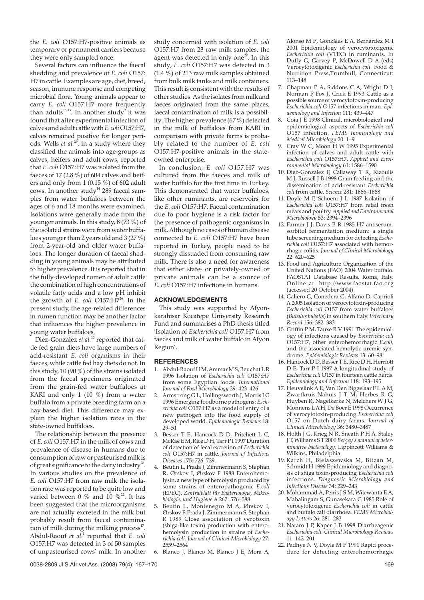the *E. coli* O157:H7-positive animals as temporary or permanent carriers because they were only sampled once.

Several factors can influence the faecal shedding and prevalence of *E. coli* O157: H7 in cattle. Examples are age, diet, breed, season, immune response and competing microbial flora. Young animals appear to carry *E. coli* O157:H7 more frequently than adults<sup>16,33</sup>. In another study<sup>9</sup> it was found that after experimental infection of calves and adult cattle with*E. coli*O157:H7, calves remained positive for longer periods. Wells *et al.*29, in a study where they classified the animals into age-groups as calves, heifers and adult cows, reported that *E. coli* O157:H7 was isolated from the faeces of 17 (2.8 %) of 604 calves and heifers and only from 1 (0.15 %) of 602 adult cows. In another study<sup>14</sup> 289 faecal samples from water buffaloes between the ages of 6 and 18 months were examined. Isolations were generally made from the younger animals. In this study, 8 (73 %) of the isolated strains were from water buffaloes younger than 2 years old and 3 (27 %) from 2-year-old and older water buffaloes. The longer duration of faecal shedding in young animals may be attributed to higher prevalence. It is reported that in the fully-developed rumen of adult cattle the combination of high concentrations of volatile fatty acids and a low pH inhibit the growth of *E. coli* O157:H7<sup>26</sup>. In the present study, the age-related differences in rumen function may be another factor that influences the higher prevalence in young water buffaloes.

Diez-Gonzalez *et al.*<sup>10</sup> reported that cattle fed grain diets have large numbers of acid-resistant *E. coli* organisms in their faeces, while cattle fed hay diets do not. In this study, 10 (90 %) of the strains isolated from the faecal specimens originated from the grain-fed water buffaloes at KARI and only 1 (10 %) from a water buffalo from a private breeding farm on a hay-based diet. This difference may explain the higher isolation rates in the state-owned buffaloes.

The relationship between the presence of *E. coli* O157:H7 in the milk of cows and prevalence of disease in humans due to consumption of raw or pasteurised milk is of great significance to the dairy industry<sup>28</sup>. In various studies on the prevalence of *E. coli* O157:H7 from raw milk the isolation rate was reported to be quite low and varied between 0 % and 10  $\%$ <sup>22</sup>. It has been suggested that the microorganisms are not actually excreted in the milk but probably result from faecal contamination of milk during the milking process $17$ . Abdul-Raouf *et al.*<sup>1</sup> reported that *E. coli* O157:H7 was detected in 3 of 50 samples of unpasteurised cows' milk. In another study concerned with isolation of *E. coli* O157:H7 from 23 raw milk samples, the agent was detected in only one $^{29}$ . In this study, *E. coli* O157:H7 was detected in 3 (1.4 %) of 213 raw milk samples obtained from bulk milk tanks and milk containers. This result is consistent with the results of other studies. As the isolates from milk and faeces originated from the same places, faecal contamination of milk is a possibility. The higher prevalence (67 %) detected in the milk of buffaloes from KARI in comparison with private farms is probably related to the number of *E. coli* O157:H7-positive animals in the stateowned enterprise.

In conclusion, *E. coli* O157:H7 was cultured from the faeces and milk of water buffalo for the first time in Turkey. This demonstrated that water buffaloes, like other ruminants, are reservoirs for the *E. coli* O157:H7. Faecal contamination due to poor hygiene is a risk factor for the presence of pathogenic organisms in milk. Although no cases of human disease connected to *E. coli* O157:H7 have been reported in Turkey, people need to be strongly dissuaded from consuming raw milk. There is also a need for awareness that either state- or privately-owned or private animals can be a source of *E. coli* O157:H7 infections in humans.

#### **ACKNOWLEDGEMENTS**

This study was supported by Afyonkarahisar Kocatepe University Research Fund and summarises a PhD thesis titled 'Isolation of *Escherichia coli* O157:H7 from faeces and milk of water buffalo in Afyon Region'.

#### **REFERENCES**

- 1. Abdul-Raouf U M, Ammar M S, Beuchat L R 1996 Isolation of *Escherichia coli* O157:H7 from some Egyptian foods. *International Journal of Food Microbiology* 29: 423–426
- 2. Armstrong G L, Hollingsworth J, Morris J G 1996 Emerging foodborne pathogens: *Escherichia coli* O157:H7 as a model of entry of a new pathogen into the food supply of developed world. *Epidemiologic Reviews* 18: 29–51
- 3. Besser T E, Hancock D D, Pritchett L C, McRae E M, Rice D H, Tarr P I 1997 Duration of detection of fecal excretion of *Escherichia coli* O157:H7 in cattle. *Journal of Infectious Diseases* 175: 726–729.
- 4. Beutin L, Prada J, Zimmermann S, Stephan R, Ørskov I, Ørskov F 1988 Enterohemolysin, a new type of hemolysin produced by some strains of enteropathogenic *E.coli* (EPEC). *Zentralblatt für Bakteriologie, Mikrobiologie, und Hygiene* A 267: 576–588
- 5. Beutin L, Montenegro M A, Ørskov I, Ørskov F, Prada J, Zimmermann S, Stephan R 1989 Close association of verotoxin (shiga-like toxin) production with enterohemolysin production in strains of *Escherichia coli. Journal of Clinical Microbiology* 27: 2559–2564
- 6. Blanco J, Blanco M, Blanco J E, Mora A,

Alonso M P, Gonzàles E A, Bernàrdez M I 2001 Epidemiology of verocytotoxigenic *Escherichia coli* (VTEC) in ruminants. In Duffy G, Garvey P, McDowell D A (eds) Verocytotoxigenic *Escherichia coli*. Food & Nutrition Press,Trumbull, Connecticut: 113–148

- 7. Chapman P A, Siddons C A, Wright D J, Norman P, Fox J, Crick E 1993 Cattle as a possible source of verocytotoxin-producing *Escherichia coli* O157 infections in man. *Epidemiology and Infection* 111: 439–447
- 8. Coia J E 1998 Clinical, microbiological and epidemiological aspects of *Escherichia coli* O157 infection. *FEMS Immunology and Medical Microbiology* 20: 1–9
- 9. Cray W C, Moon H W 1995 Experimental infection of calves and adult cattle with *Escherichia coli* O157:H7. *Applied and Environmental Microbiology* 61: 1586–1590
- 10. Diez-Gonzalez F, Callaway T R, Kizoulis M I, Russell J B 1998 Grain feeding and the dissemination of acid-resistant *Escherichia coli* from cattle. *Science* 281: 1666–1668
- 11. Doyle M P, Schoeni J L 1987 Isolation of *Escherichia coli* O157:H7 from retail fresh meats and poultry.*Applied and Environmental Microbiology* 53: 2394–2396
- 12. Farmer J J, Davis B R 1985 H7 antiserumsorbitol fermentation medium: a single tube screening medium for detecting *Escherichia coli* O157:H7 associated with hemorrhagic colitis. *Journal of Clinical Microbiology* 22: 620–625
- 13. Food and Agriculture Organization of the United Nations (FAO) 2004 Water buffalo. FAOSTAT Database Results. Roma, Italy. Online at: http://www.faostat.fao.org (accessed 20 October 2004)
- 14. Galiero G, Conedera G, Alfano D, Caprioli A 2005 Isolation of verocytotoxin-producing *Escherichia coli* O157 from water buffaloes (*Bubalus bubalis*) in southern Italy.*Veterinary Record* 156: 382–383
- 15. Griffin P M, Tauxe R V 1991 The epidemiology of infections caused by *Escherichia coli* O157:H7, other enterohemorrhagic *E.coli,* and the associated hemolytic uremic syndrome. *Epidemiologic Reviews* 13: 60–98
- 16. Hancock D D, Besser T E, Rice D H, Herriott D E, Tarr P I 1997 A longitudinal study of *Escherichia coli* O157 in fourteen cattle herds. *Epidemiology and Infection* 118: 193–195
- 17. Heuvelink A E, Van Den Biggelaar F L A M, Zwartkruis-Nahuis J T M, Herbes R G, Huyben R, Nagelkerke N, Melchers W J G, Monnens L A H, De Boer E 1998 Occurrence of verocytotoxin-producing *Escherichia coli* O157 on Dutch dairy farms. *Journal of Clinical Microbiology* 36: 3480–3487
- 18. Holth J G, Krieg  $\overline{N}$  R, Sneath P H A, Staley J T, Williams S T 2000 *Bergey's manual of determinative bacteriology.* Lippincott Williams & Wilkins, Philadelphia
- 19. Karch H, Bielaszewska M, Bitzan M, Schmidt H 1999 Epidemiology and diagnosis of shiga toxin-producing *Escherichia coli* infections. *Diagnostic Microbiology and Infectious Disease* 34: 229–243
- 20. Mohammad A, Peiris J S M, Wijewanta E A, Mahalingam S, Gunasekara G 1985 Role of verocytotoxigenic *Escherichia coli* in cattle and buffalo calf diarrhoea. *FEMS Microbiology Letters* 26: 281–283
- 21. Nataro J P, Kaper J B 1998 Diarrheagenic *Escherichia coli. Clinical Microbiology Reviews* 11: 142–201
- 22. Padhye N V, Doyle M P 1991 Rapid procedure for detecting enterohemorrhagic